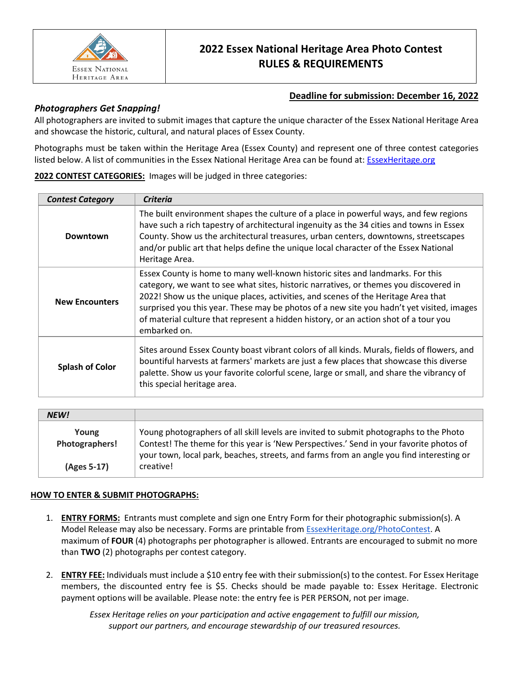

## **2022 Essex National Heritage Area Photo Contest RULES & REQUIREMENTS**

## **Deadline for submission: December 16, 2022**

## *Photographers Get Snapping!*

All photographers are invited to submit images that capture the unique character of the Essex National Heritage Area and showcase the historic, cultural, and natural places of Essex County.

Photographs must be taken within the Heritage Area (Essex County) and represent one of three contest categories listed below. A list of communities in the Essex National Heritage Area can be found at: [EssexHeritage.org](http://www.essexheritage.org/)

#### **2022 CONTEST CATEGORIES:** Images will be judged in three categories:

| <b>Contest Category</b> | <b>Criteria</b>                                                                                                                                                                                                                                                                                                                                                                                                                                                   |
|-------------------------|-------------------------------------------------------------------------------------------------------------------------------------------------------------------------------------------------------------------------------------------------------------------------------------------------------------------------------------------------------------------------------------------------------------------------------------------------------------------|
| <b>Downtown</b>         | The built environment shapes the culture of a place in powerful ways, and few regions<br>have such a rich tapestry of architectural ingenuity as the 34 cities and towns in Essex<br>County. Show us the architectural treasures, urban centers, downtowns, streetscapes<br>and/or public art that helps define the unique local character of the Essex National<br>Heritage Area.                                                                                |
| <b>New Encounters</b>   | Essex County is home to many well-known historic sites and landmarks. For this<br>category, we want to see what sites, historic narratives, or themes you discovered in<br>2022! Show us the unique places, activities, and scenes of the Heritage Area that<br>surprised you this year. These may be photos of a new site you hadn't yet visited, images<br>of material culture that represent a hidden history, or an action shot of a tour you<br>embarked on. |
| <b>Splash of Color</b>  | Sites around Essex County boast vibrant colors of all kinds. Murals, fields of flowers, and<br>bountiful harvests at farmers' markets are just a few places that showcase this diverse<br>palette. Show us your favorite colorful scene, large or small, and share the vibrancy of<br>this special heritage area.                                                                                                                                                 |

| <b>NEW!</b>             |                                                                                                                                                                                                                                                                               |
|-------------------------|-------------------------------------------------------------------------------------------------------------------------------------------------------------------------------------------------------------------------------------------------------------------------------|
| Young<br>Photographers! | Young photographers of all skill levels are invited to submit photographs to the Photo<br>Contest! The theme for this year is 'New Perspectives.' Send in your favorite photos of<br>your town, local park, beaches, streets, and farms from an angle you find interesting or |
| (Ages 5-17)             | creative!                                                                                                                                                                                                                                                                     |

#### **HOW TO ENTER & SUBMIT PHOTOGRAPHS:**

- 1. **ENTRY FORMS:** Entrants must complete and sign one Entry Form for their photographic submission(s). A Model Release may also be necessary. Forms are printable from [EssexHeritage.org/PhotoContest.](http://www.essexheritage.org/photocontest) A maximum of **FOUR** (4) photographs per photographer is allowed. Entrants are encouraged to submit no more than **TWO** (2) photographs per contest category.
- 2. **ENTRY FEE:** Individuals must include a \$10 entry fee with their submission(s) to the contest. For Essex Heritage members, the discounted entry fee is \$5. Checks should be made payable to: Essex Heritage. Electronic payment options will be available. Please note: the entry fee is PER PERSON, not per image.

*Essex Heritage relies on your participation and active engagement to fulfill our mission, support our partners, and encourage stewardship of our treasured resources.*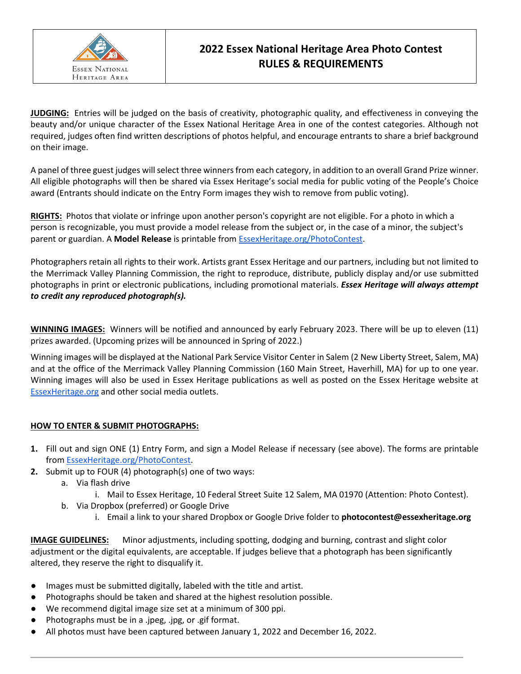

## **2022 Essex National Heritage Area Photo Contest RULES & REQUIREMENTS**

**JUDGING:** Entries will be judged on the basis of creativity, photographic quality, and effectiveness in conveying the beauty and/or unique character of the Essex National Heritage Area in one of the contest categories. Although not required, judges often find written descriptions of photos helpful, and encourage entrants to share a brief background on their image.

A panel of three guest judges will select three winners from each category, in addition to an overall Grand Prize winner. All eligible photographs will then be shared via Essex Heritage's social media for public voting of the People's Choice award (Entrants should indicate on the Entry Form images they wish to remove from public voting).

**RIGHTS:** Photos that violate or infringe upon another person's copyright are not eligible. For a photo in which a person is recognizable, you must provide a model release from the subject or, in the case of a minor, the subject's parent or guardian. A **Model Release** is printable fro[m EssexHeritage.org/PhotoContest.](http://www.essexheritage.org/photocontest)

Photographers retain all rights to their work. Artists grant Essex Heritage and our partners, including but not limited to the Merrimack Valley Planning Commission, the right to reproduce, distribute, publicly display and/or use submitted photographs in print or electronic publications, including promotional materials. *Essex Heritage will always attempt to credit any reproduced photograph(s).*

**WINNING IMAGES:** Winners will be notified and announced by early February 2023. There will be up to eleven (11) prizes awarded. (Upcoming prizes will be announced in Spring of 2022.)

Winning images will be displayed at the National Park Service Visitor Center in Salem (2 New Liberty Street, Salem, MA) and at the office of the Merrimack Valley Planning Commission (160 Main Street, Haverhill, MA) for up to one year. Winning images will also be used in Essex Heritage publications as well as posted on the Essex Heritage website at [EssexHeritage.org](https://essexheritage.org/) and other social media outlets.

### **HOW TO ENTER & SUBMIT PHOTOGRAPHS:**

- **1.** Fill out and sign ONE (1) Entry Form, and sign a Model Release if necessary (see above). The forms are printable from [EssexHeritage.org/PhotoContest.](http://www.essexheritage.org/photocontest)
- **2.** Submit up to FOUR (4) photograph(s) one of two ways:
	- a. Via flash drive
		- i. Mail to Essex Heritage, 10 Federal Street Suite 12 Salem, MA 01970 (Attention: Photo Contest).
	- b. Via Dropbox (preferred) or Google Drive
		- i. Email a link to your shared Dropbox or Google Drive folder to **photocontest@essexheritage.org**

**IMAGE GUIDELINES:** Minor adjustments, including spotting, dodging and burning, contrast and slight color adjustment or the digital equivalents, are acceptable. If judges believe that a photograph has been significantly altered, they reserve the right to disqualify it.

- Images must be submitted digitally, labeled with the title and artist.
- Photographs should be taken and shared at the highest resolution possible.
- We recommend digital image size set at a minimum of 300 ppi.
- Photographs must be in a .jpeg, .jpg, or .gif format.
- All photos must have been captured between January 1, 2022 and December 16, 2022.